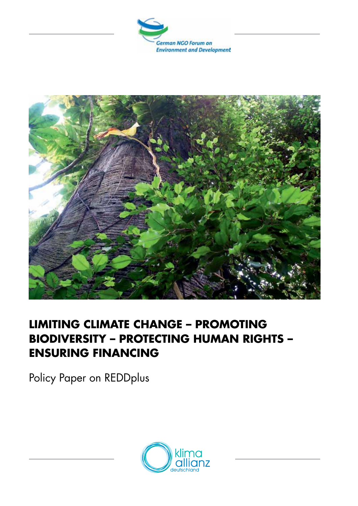



# **LIMITING CLIMATE CHANGE – PROMOTING BIODIVERSITY – PROTECTING HUMAN RIGHTS – ENSURING FINANCING**

Policy Paper on REDDplus

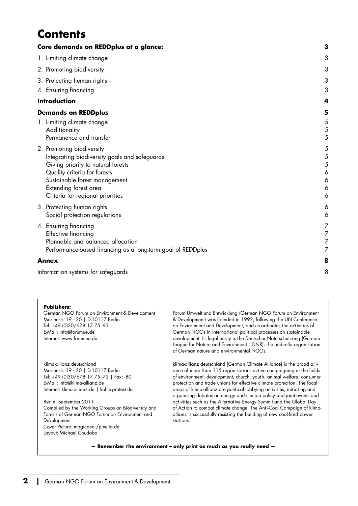# **Contents**

| Core demands on REDDplus at a glance:                                                                                                                                                                                                          | 3                                       |
|------------------------------------------------------------------------------------------------------------------------------------------------------------------------------------------------------------------------------------------------|-----------------------------------------|
| 1. Limiting climate change                                                                                                                                                                                                                     | 3                                       |
| 2. Promoting biodiversity                                                                                                                                                                                                                      | 3                                       |
| 3. Protecting human rights                                                                                                                                                                                                                     | 3                                       |
| 4. Ensuring financing                                                                                                                                                                                                                          | 3                                       |
| <b>Introduction</b>                                                                                                                                                                                                                            | 4                                       |
| <b>Demands on REDDplus</b>                                                                                                                                                                                                                     | 5                                       |
| 1. Limiting climate change<br>Additionality<br>Permanence and transfer                                                                                                                                                                         | 5<br>5<br>5                             |
| 2. Promoting biodiversity<br>Integrating biodiversity goals and safeguards<br>Giving priority to natural forests<br>Quality criteria for forests<br>Sustainable forest management<br>Extending forest area<br>Criteria for regional priorities | 5<br>5<br>5<br>6<br>6<br>6<br>6         |
| 3. Protecting human rights<br>Social protection regulations                                                                                                                                                                                    | 6<br>6                                  |
| 4. Ensuring financing<br><b>Effective financing</b><br>Plannable and balanced allocation<br>Performance-based financing as a long-term goal of REDDplus                                                                                        | $\overline{\phantom{a}}$<br>7<br>7<br>7 |
| <b>Annex</b>                                                                                                                                                                                                                                   | 8                                       |
| Information systems for safeguards                                                                                                                                                                                                             | 8                                       |

#### **Publishers:**

German NGO Forum on Environment & Development Marienstr. 19−20 | D-10117 Berlin Tel: +49 (0)30/678 17 75 -93 E-Mail: info@forumue.de Internet: www.forumue.de

klima-allianz deutschland Marienstr. 19−20 | D-10117 Berlin Tel: +49 (0)30/678 17 75 -72 | Fax: -80 E-Mail: info@klima-allianz.de Internet: klima-allianz.de | kohle-protest.de

Berlin, September 2011 Compiled by the Working Groups on Biodiversity and Forests of German NGO Forum on Environment and Development Cover Picture: magicpen /pixelio.de Layout: Michael Chudoba

Forum Umwelt und Entwicklung (German NGO Forum on Environment & Development) was founded in 1992, following the UN Conference on Environment and Development, and co-ordinates the activities of German NGOs in international political processes on sustainable development. Its legal entity is the Deutscher Naturschutzring (German League for Nature and Environment – DNR), the umbrella organisation of German nature and environmental NGOs.

klima-allianz deutschland (German Climate Alliance) is the broad alliance of more than 115 organisations active campaigning in the fields of environment, development, church, youth, animal welfare, consumer protection and trade unions for effective climate protection. The focal areas of klima-allianz are political lobbying activities, initiating and organising debates on energy and climate policy and joint events and activities such as the Alternative Energy Summit and the Global Day of Action to combat climate change. The Anti-Coal Campaign of klimaallianz is successfully resisting the building of new coal-fired power stations.

**— Remember the environment – only print as much as you really need —**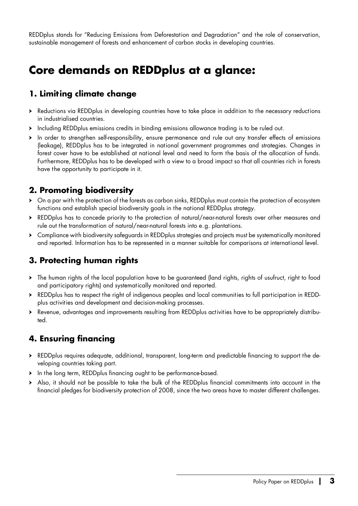<span id="page-2-0"></span>REDDplus stands for "Reducing Emissions from Deforestation and Degradation" and the role of conservation, sustainable management of forests and enhancement of carbon stocks in developing countries.

# **Core demands on REDDplus at a glance:**

## **1. Limit ing climate change**

- ▶ Reductions via REDDplus in developing countries have to take place in addition to the necessary reductions in industrialised countries.
- ӹ Including REDDplus emissions credits in binding emissions allowance trading is to be ruled out.
- ӹ In order to strengthen self-responsibility, ensure permanence and rule out any transfer effects of emissions (leakage), REDDplus has to be integrated in national government programmes and strategies. Changes in forest cover have to be established at national level and need to form the basis of the allocation of funds. Furthermore, REDDplus has to be developed with a view to a broad impact so that all countries rich in forests have the opportunity to participate in it.

## **2. Promot ing biodiversity**

- > On a par with the protection of the forests as carbon sinks, REDDplus must contain the protection of ecosystem functions and establish special biodiversity goals in the national REDDplus strategy.
- ▶ REDDplus has to concede priority to the protection of natural/near-natural forests over other measures and rule out the transformation of natural/near-natural forests into e.g. plantations.
- ▶ Compliance with biodiversity safeguards in REDDplus strategies and projects must be systematically monitored and reported. Information has to be represented in a manner suitable for comparisons at international level.

## **3. Protect ing human rights**

- ӹ The human rights of the local population have to be guaranteed (land rights, rights of usufruct, right to food and participatory rights) and systematically monitored and reported.
- ▶ REDDplus has to respect the right of indigenous peoples and local communities to full participation in REDDplus activities and development and decision-making processes.
- ӹ Revenue, advantages and improvements resulting from REDDplus activities have to be appropriately distributed.

## **4. Ensuring financing**

- ▶ REDDplus requires adequate, additional, transparent, long-term and predictable financing to support the developing countries taking part.
- > In the long term, REDDplus financing ought to be performance-based.
- ӹ Also, it should not be possible to take the bulk of the REDDplus financial commitments into account in the financial pledges for biodiversity protection of 2008, since the two areas have to master different challenges.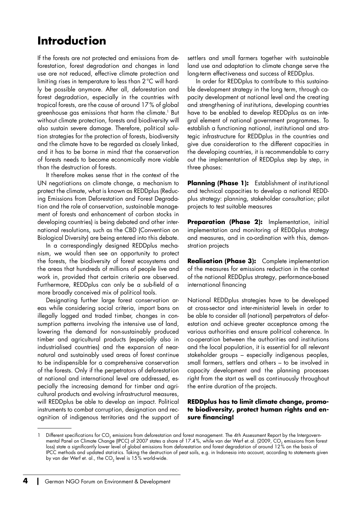# <span id="page-3-0"></span>**Introduct ion**

If the forests are not protected and emissions from deforestation, forest degradation and changes in land use are not reduced, effective climate protection and limiting rises in temperature to less than 2°C will hardly be possible anymore. After all, deforestation and forest degradation, especially in the countries with tropical forests, are the cause of around 17% of global greenhouse gas emissions that harm the climate.1 But without climate protection, forests and biodiversity will also sustain severe damage. Therefore, political solution strategies for the protection of forests, biodiversity and the climate have to be regarded as closely linked, and it has to be borne in mind that the conservation of forests needs to become economically more viable than the destruction of forests.

It therefore makes sense that in the context of the UN negotiations on climate change, a mechanism to protect the climate, what is known as REDDplus (Reducing Emissions from Deforestation and Forest Degradation and the role of conservation, sustainable management of forests and enhancement of carbon stocks in developing countries) is being debated and other international resolutions, such as the CBD (Convention on Biological Diversity) are being entered into this debate.

In a correspondingly designed REDDplus mechanism, we would then see an opportunity to protect the forests, the biodiversity of forest ecosystems and the areas that hundreds of millions of people live and work in, provided that certain criteria are observed. Furthermore, REDDplus can only be a sub-field of a more broadly conceived mix of political tools.

Designating further large forest conservation areas while considering social criteria, import bans on illegally logged and traded timber, changes in consumption patterns involving the intensive use of land, lowering the demand for non-sustainably produced timber and agricultural products (especially also in industrialised countries) and the expansion of nearnatural and sustainably used areas of forest continue to be indispensible for a comprehensive conservation of the forests. Only if the perpetrators of deforestation at national and international level are addressed, especially the increasing demand for timber and agricultural products and evolving infrastructural measures, will REDDplus be able to develop an impact. Political instruments to combat corruption, designation and recognition of indigenous territories and the support of settlers and small farmers together with sustainable land use and adaptation to climate change serve the long-term effectiveness and success of REDDplus.

In order for REDDplus to contribute to this sustainable development strategy in the long term, through capacity development at national level and the creating and strengthening of institutions, developing countries have to be enabled to develop REDDplus as an integral element of national government programmes. To establish a functioning national, institutional and strategic infrastructure for REDDplus in the countries and give due consideration to the different capacities in the developing countries, it is recommendable to carry out the implementation of REDDplus step by step, in three phases:

**Planning (Phase 1):** Establishment of institutional and technical capacities to develop a national REDDplus strategy: planning, stakeholder consultation; pilot projects to test suitable measures

**Preparation (Phase 2):** Implementation, initial implementation and monitoring of REDDplus strategy and measures, and in co-ordination with this, demonstration projects

**Realisation (Phase 3):** Complete implementation of the measures for emissions reduction in the context of the national REDDplus strategy, performance-based international financing

National REDDplus strategies have to be developed at cross-sector and inter-ministerial levels in order to be able to consider all (national) perpetrators of deforestation and achieve greater acceptance among the various authorities and ensure political coherence. In co-operation between the authorities and institutions and the local population, it is essential for all relevant stakeholder groups – especially indigenous peoples, small farmers, settlers and others – to be involved in capacity development and the planning processes right from the start as well as continuously throughout the entire duration of the projects.

#### **REDDplus has to limit climate change, promote biodiversity, protect human rights and ensure financing!**

<sup>1</sup> Different specifications for CO<sub>2</sub> emissions from deforestation and forest management. The 4th Assessment Report by the Intergovernmental Panel on Climate Change (IPCC) of 2007 states a share of 17.4%, while van der Werf et.al. (2009, CO, emissions from forest<br>loss) state a significantly lower level of global emissions from deforestation and forest de IPCC methods and updated statistics. Taking the destruction of peat soils, e.g. in Indonesia into account, according to statements given by van der Werf et. al., the  $CO<sub>2</sub>$  level is  $15\%$  world-wide.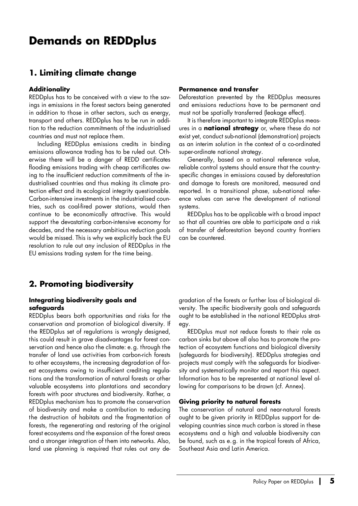## <span id="page-4-0"></span>**Demands on REDDplus**

### **1. Limit ing climate change**

#### **Addit ionality**

REDDplus has to be conceived with a view to the savings in emissions in the forest sectors being generated in addition to those in other sectors, such as energy, transport and others. REDDplus has to be run in addition to the reduction commitments of the industrialised countries and must not replace them.

Including REDDplus emissions credits in binding emissions allowance trading has to be ruled out. Otherwise there will be a danger of REDD certificates flooding emissions trading with cheap certificates owing to the insufficient reduction commitments of the industrialised countries and thus making its climate protection effect and its ecological integrity questionable. Carbon-intensive investments in the industrialised countries, such as coal-fired power stations, would then continue to be economically attractive. This would support the devastating carbon-intensive economy for decades, and the necessary ambitious reduction goals would be missed. This is why we explicitly back the EU resolution to rule out any inclusion of REDDplus in the EU emissions trading system for the time being.

#### **Permanence and transfer**

Deforestation prevented by the REDDplus measures and emissions reductions have to be permanent and must not be spatially transferred (leakage effect).

It is therefore important to integrate REDDplus measures in a **nat ional strategy** or, where these do not exist yet, conduct sub-national (demonstration) projects as an interim solution in the context of a co-ordinated super-ordinate national strategy.

Generally, based on a national reference value, reliable control systems should ensure that the countryspecific changes in emissions caused by deforestation and damage to forests are monitored, measured and reported. In a transitional phase, sub-national reference values can serve the development of national systems.

REDDplus has to be applicable with a broad impact so that all countries are able to participate and a risk of transfer of deforestation beyond country frontiers can be countered.

## **2. Promot ing biodiversity**

#### **Integrat ing biodiversity goals and safeguards**

REDDplus bears both opportunities and risks for the conservation and promotion of biological diversity. If the REDDplus set of regulations is wrongly designed, this could result in grave disadvantages for forest conservation and hence also the climate: e.g. through the transfer of land use activities from carbon-rich forests to other ecosystems, the increasing degradation of forest ecosystems owing to insufficient crediting regulations and the transformation of natural forests or other valuable ecosystems into plantations and secondary forests with poor structures and biodiversity. Rather, a REDDplus mechanism has to promote the conservation of biodiversity and make a contribution to reducing the destruction of habitats and the fragmentation of forests, the regenerating and restoring of the original forest ecosystems and the expansion of the forest areas and a stronger integration of them into networks. Also, land use planning is required that rules out any de-

gradation of the forests or further loss of biological diversity. The specific biodiversity goals and safeguards ought to be established in the national REDDplus strategy.

REDDplus must not reduce forests to their role as carbon sinks but above all also has to promote the protection of ecosystem functions and biological diversity (safeguards for biodiversity). REDDplus strategies and projects must comply with the safeguards for biodiversity and systematically monitor and report this aspect. Information has to be represented at national level allowing for comparisons to be drawn (cf. Annex).

#### **Giving priority to natural forests**

The conservation of natural and near-natural forests ought to be given priority in REDDplus support for developing countries since much carbon is stored in these ecosystems and a high and valuable biodiversity can be found, such as e.g. in the tropical forests of Africa, Southeast Asia and Latin America.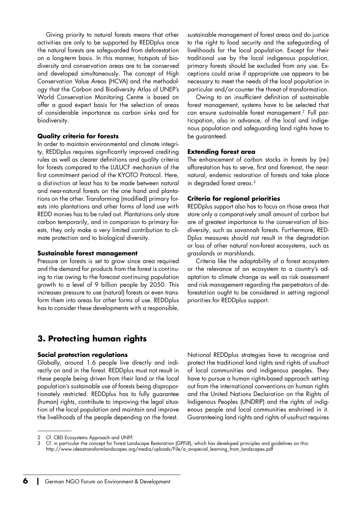<span id="page-5-0"></span>Giving priority to natural forests means that other activities are only to be supported by REDDplus once the natural forests are safeguarded from deforestation on a long-term basis. In this manner, hotspots of biodiversity and conservation areas are to be conserved and developed simultaneously. The concept of High Conservation Value Areas (HCVA) and the methodology that the Carbon and Biodiversity Atlas of UNEP's World Conservation Monitoring Centre is based on offer a good expert basis for the selection of areas of considerable importance as carbon sinks and for biodiversity.

#### **Quality criteria for forests**

In order to maintain environmental and climate integrity, REDDplus requires significantly improved crediting rules as well as clearer definitions and quality criteria for forests compared to the LULUCF mechanism of the first commitment period of the KYOTO Protocol. Here, a distinction at least has to be made between natural and near-natural forests on the one hand and plantations on the other. Transforming (modified) primary forests into plantations and other forms of land use with REDD monies has to be ruled out. Plantations only store carbon temporarily, and in comparison to primary forests, they only make a very limited contribution to climate protection and to biological diversity.

#### **Sustainable forest management**

Pressure on forests is set to grow since area required and the demand for products from the forest is continuing to rise owing to the forecast continuing population growth to a level of 9 billion people by 2050. This increases pressure to use (natural) forests or even transform them into areas for other forms of use. REDDplus has to consider these developments with a responsible, sustainable management of forest areas and do justice to the right to food security and the safeguarding of livelihoods for the local population. Except for their traditional use by the local indigenous population, primary forests should be excluded from any use. Exceptions could arise if appropriate use appears to be necessary to meet the needs of the local population in particular and/or counter the threat of transformation.

Owing to an insufficient definition of sustainable forest management, systems have to be selected that can ensure sustainable forest management.2 Full participation, also in advance, of the local and indigenous population and safeguarding land rights have to be guaranteed.

#### **Extending forest area**

The enhancement of carbon stocks in forests by (re-) afforestation has to serve, first and foremost, the nearnatural, endemic restoration of forests and take place in degraded forest areas.3

#### **Criteria for regional priorit ies**

REDDplus support also has to focus on those areas that store only a comparatively small amount of carbon but are of greatest importance to the conservation of biodiversity, such as savannah forests. Furthermore, RED-Dplus measures should not result in the degradation or loss of other natural non-forest ecosystems, such as grasslands or marshlands.

Criteria like the adaptability of a forest ecosystem or the relevance of an ecosystem to a country's adaptation to climate change as well as risk assessment and risk management regarding the perpetrators of deforestation ought to be considered in setting regional priorities for REDDplus support.

## **3. Protect ing human rights**

#### **Social protect ion regulat ions**

Globally, around 1.6 people live directly and indirectly on and in the forest. REDDplus must not result in these people being driven from their land or the local population's sustainable use of forests being disproportionately restricted. REDDplus has to fully guarantee (human) rights, contribute to improving the legal situation of the local population and maintain and improve the livelihoods of the people depending on the forest.

National REDDplus strategies have to recognise and protect the traditional land rights and rights of usufruct of local communities and indigenous peoples. They have to pursue a human rights-based approach setting out from the international conventions on human rights and the United Nations Declaration on the Rights of Indigenous Peoples (UNDRIP) and the rights of indigenous people and local communities enshrined in it. Guaranteeing land rights and rights of usufruct requires

<sup>2</sup> Cf. CBD Ecosystems Approach and UNFF.

<sup>3</sup> Cf. in particular the concept for Forest Landscape Restoration (GPFLR), which has developed principles and guidelines on this: http://www.ideastransformlandscapes.org/media/uploads/File/a\_avspecial\_learning\_from\_landscapes.pdf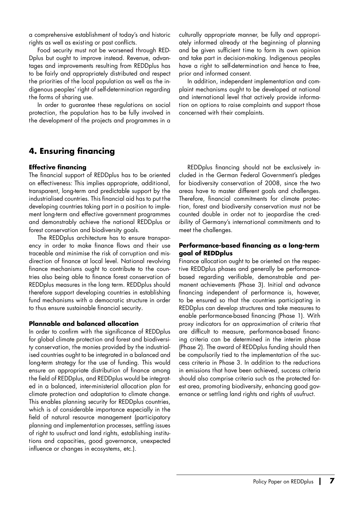<span id="page-6-0"></span>a comprehensive establishment of today's and historic rights as well as existing or past conflicts.

Food security must not be worsened through RED-Dplus but ought to improve instead. Revenue, advantages and improvements resulting from REDDplus has to be fairly and appropriately distributed and respect the priorities of the local population as well as the indigenous peoples' right of self-determination regarding the forms of sharing use.

In order to guarantee these regulations on social protection, the population has to be fully involved in the development of the projects and programmes in a culturally appropriate manner, be fully and appropriately informed already at the beginning of planning and be given sufficient time to form its own opinion and take part in decision-making. Indigenous peoples have a right to self-determination and hence to free, prior and informed consent.

In addition, independent implementation and complaint mechanisms ought to be developed at national and international level that actively provide information on options to raise complaints and support those concerned with their complaints.

## **4. Ensuring financing**

#### **Effect ive financing**

The financial support of REDDplus has to be oriented on effectiveness: This implies appropriate, additional, transparent, long-term and predictable support by the industrialised countries. This financial aid has to put the developing countries taking part in a position to implement long-term and effective government programmes and demonstrably achieve the national REDDplus or forest conservation and biodiversity goals.

The REDDplus architecture has to ensure transparency in order to make finance flows and their use traceable and minimise the risk of corruption and misdirection of finance at local level. National revolving finance mechanisms ought to contribute to the countries also being able to finance forest conservation of REDDplus measures in the long term. REDDplus should therefore support developing countries in establishing fund mechanisms with a democratic structure in order to thus ensure sustainable financial security.

#### **Plannable and balanced allocat ion**

In order to confirm with the significance of REDDplus for global climate protection and forest and biodiversity conservation, the monies provided by the industrialised countries ought to be integrated in a balanced and long-term strategy for the use of funding. This would ensure an appropriate distribution of finance among the field of REDDplus, and REDDplus would be integrated in a balanced, inter-ministerial allocation plan for climate protection and adaptation to climate change. This enables planning security for REDDplus countries, which is of considerable importance especially in the field of natural resource management (participatory planning and implementation processes, settling issues of right to usufruct and land rights, establishing institutions and capacities, good governance, unexpected influence or changes in ecosystems, etc.).

REDDplus financing should not be exclusively included in the German Federal Government's pledges for biodiversity conservation of 2008, since the two areas have to master different goals and challenges. Therefore, financial commitments for climate protection, forest and biodiversity conservation must not be counted double in order not to jeopardise the credibility of Germany's international commitments and to meet the challenges.

#### **Performance-based financing as a long-term goal of REDDplus**

Finance allocation ought to be oriented on the respective REDDplus phases and generally be performancebased regarding verifiable, demonstrable and permanent achievements (Phase 3). Initial and advance financing independent of performance is, however, to be ensured so that the countries participating in REDDplus can develop structures and take measures to enable performance-based financing (Phase 1). With proxy indicators for an approximation of criteria that are difficult to measure, performance-based financing criteria can be determined in the interim phase (Phase 2). The award of REDDplus funding should then be compulsorily tied to the implementation of the success criteria in Phase 3. In addition to the reductions in emissions that have been achieved, success criteria should also comprise criteria such as the protected forest area, promoting biodiversity, enhancing good governance or settling land rights and rights of usufruct.